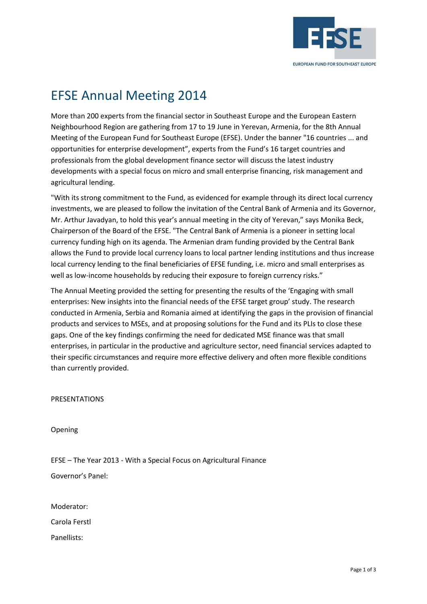

# EFSE Annual Meeting 2014

More than 200 experts from the financial sector in Southeast Europe and the European Eastern Neighbourhood Region are gathering from 17 to 19 June in Yerevan, Armenia, for the 8th Annual Meeting of the European Fund for Southeast Europe (EFSE). Under the banner "16 countries ... and opportunities for enterprise development", experts from the Fund's 16 target countries and professionals from the global development finance sector will discuss the latest industry developments with a special focus on micro and small enterprise financing, risk management and agricultural lending.

"With its strong commitment to the Fund, as evidenced for example through its direct local currency investments, we are pleased to follow the invitation of the Central Bank of Armenia and its Governor, Mr. Arthur Javadyan, to hold this year's annual meeting in the city of Yerevan," says Monika Beck, Chairperson of the Board of the EFSE. "The Central Bank of Armenia is a pioneer in setting local currency funding high on its agenda. The Armenian dram funding provided by the Central Bank allows the Fund to provide local currency loans to local partner lending institutions and thus increase local currency lending to the final beneficiaries of EFSE funding, i.e. micro and small enterprises as well as low-income households by reducing their exposure to foreign currency risks."

The Annual Meeting provided the setting for presenting the results of the 'Engaging with small enterprises: New insights into the financial needs of the EFSE target group' study. The research conducted in Armenia, Serbia and Romania aimed at identifying the gaps in the provision of financial products and services to MSEs, and at proposing solutions for the Fund and its PLIs to close these gaps. One of the key findings confirming the need for dedicated MSE finance was that small enterprises, in particular in the productive and agriculture sector, need financial services adapted to their specific circumstances and require more effective delivery and often more flexible conditions than currently provided.

PRESENTATIONS

Opening

EFSE – The Year 2013 - With a Special Focus on Agricultural Finance Governor's Panel:

Moderator:

Carola Ferstl

Panellists: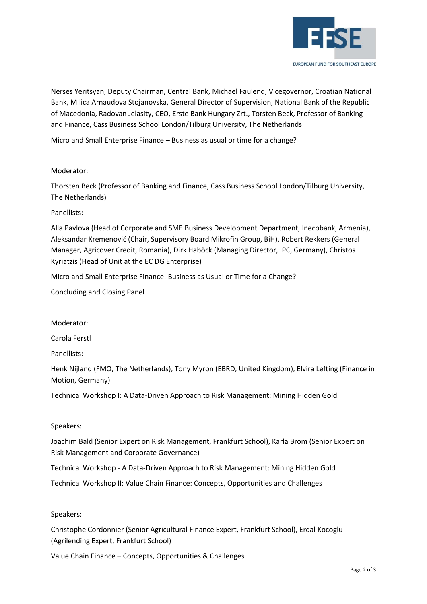

Nerses Yeritsyan, Deputy Chairman, Central Bank, Michael Faulend, Vicegovernor, Croatian National Bank, Milica Arnaudova Stojanovska, General Director of Supervision, National Bank of the Republic of Macedonia, Radovan Jelasity, CEO, Erste Bank Hungary Zrt., Torsten Beck, Professor of Banking and Finance, Cass Business School London/Tilburg University, The Netherlands

Micro and Small Enterprise Finance – Business as usual or time for a change?

## Moderator:

Thorsten Beck (Professor of Banking and Finance, Cass Business School London/Tilburg University, The Netherlands)

### Panellists:

Alla Pavlova (Head of Corporate and SME Business Development Department, Inecobank, Armenia), Aleksandar Kremenović (Chair, Supervisory Board Mikrofin Group, BiH), Robert Rekkers (General Manager, Agricover Credit, Romania), Dirk Haböck (Managing Director, IPC, Germany), Christos Kyriatzis (Head of Unit at the EC DG Enterprise)

Micro and Small Enterprise Finance: Business as Usual or Time for a Change?

Concluding and Closing Panel

Moderator:

Carola Ferstl

Panellists:

Henk Nijland (FMO, The Netherlands), Tony Myron (EBRD, United Kingdom), Elvira Lefting (Finance in Motion, Germany)

Technical Workshop I: A Data-Driven Approach to Risk Management: Mining Hidden Gold

### Speakers:

Joachim Bald (Senior Expert on Risk Management, Frankfurt School), Karla Brom (Senior Expert on Risk Management and Corporate Governance)

Technical Workshop - A Data‐Driven Approach to Risk Management: Mining Hidden Gold

Technical Workshop II: Value Chain Finance: Concepts, Opportunities and Challenges

### Speakers:

Christophe Cordonnier (Senior Agricultural Finance Expert, Frankfurt School), Erdal Kocoglu (Agrilending Expert, Frankfurt School)

Value Chain Finance – Concepts, Opportunities & Challenges